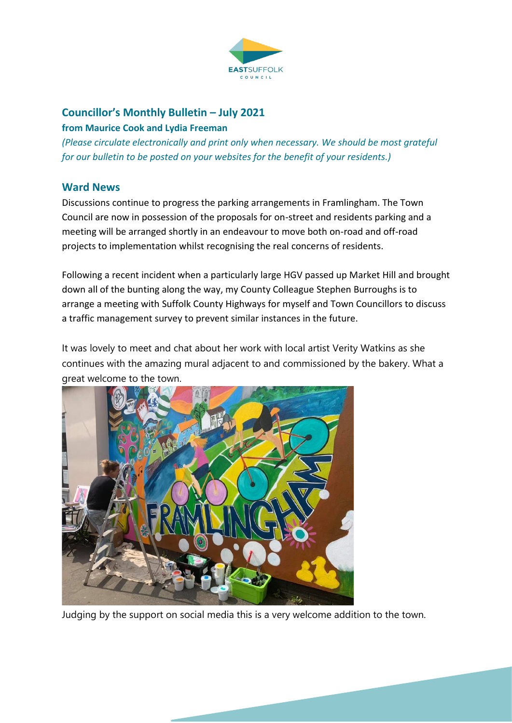

# **Councillor's Monthly Bulletin – July 2021**

#### **from Maurice Cook and Lydia Freeman**

*(Please circulate electronically and print only when necessary. We should be most grateful for our bulletin to be posted on your websites for the benefit of your residents.)*

### **Ward News**

Discussions continue to progress the parking arrangements in Framlingham. The Town Council are now in possession of the proposals for on-street and residents parking and a meeting will be arranged shortly in an endeavour to move both on-road and off-road projects to implementation whilst recognising the real concerns of residents.

Following a recent incident when a particularly large HGV passed up Market Hill and brought down all of the bunting along the way, my County Colleague Stephen Burroughs is to arrange a meeting with Suffolk County Highways for myself and Town Councillors to discuss a traffic management survey to prevent similar instances in the future.

It was lovely to meet and chat about her work with local artist Verity Watkins as she continues with the amazing mural adjacent to and commissioned by the bakery. What a great welcome to the town.



Judging by the support on social media this is a very welcome addition to the town.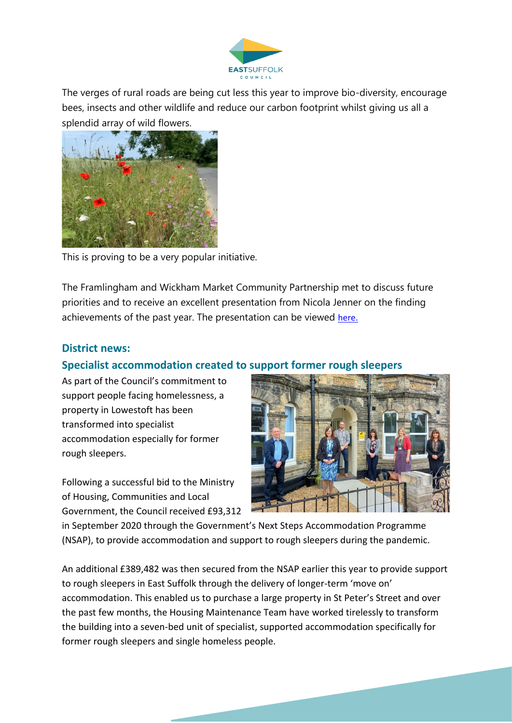

The verges of rural roads are being cut less this year to improve bio-diversity, encourage bees, insects and other wildlife and reduce our carbon footprint whilst giving us all a splendid array of wild flowers.



This is proving to be a very popular initiative.

The Framlingham and Wickham Market Community Partnership met to discuss future priorities and to receive an excellent presentation from Nicola Jenner on the finding achievements of the past year. The presentation can be viewed [here.](../../../Community%20Partnership/Community%20Partnership%20Funding%202020-21.pptx)

### **District news:**

# **Specialist accommodation created to support former rough sleepers**

As part of the Council's commitment to support people facing homelessness, a property in Lowestoft has been transformed into specialist accommodation especially for former rough sleepers.

Following a successful bid to the Ministry of Housing, Communities and Local Government, the Council received £93,312



in September 2020 through the Government's Next Steps Accommodation Programme (NSAP), to provide accommodation and support to rough sleepers during the pandemic.

An additional £389,482 was then secured from the NSAP earlier this year to provide support to rough sleepers in East Suffolk through the delivery of longer-term 'move on' accommodation. This enabled us to purchase a large property in St Peter's Street and over the past few months, the Housing Maintenance Team have worked tirelessly to transform the building into a seven-bed unit of specialist, supported accommodation specifically for former rough sleepers and single homeless people.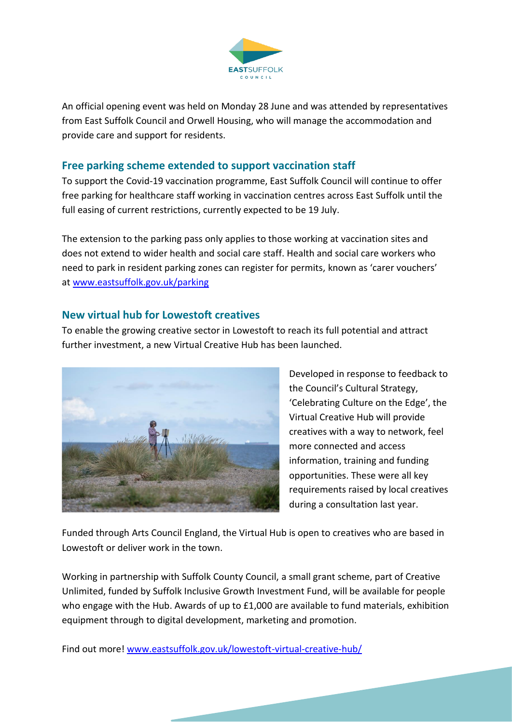

An official opening event was held on Monday 28 June and was attended by representatives from East Suffolk Council and Orwell Housing, who will manage the accommodation and provide care and support for residents.

# **Free parking scheme extended to support vaccination staff**

To support the Covid-19 vaccination programme, East Suffolk Council will continue to offer free parking for healthcare staff working in vaccination centres across East Suffolk until the full easing of current restrictions, currently expected to be 19 July.

The extension to the parking pass only applies to those working at vaccination sites and does not extend to wider health and social care staff. Health and social care workers who need to park in resident parking zones can register for permits, known as 'carer vouchers' at [www.eastsuffolk.gov.uk/parking](http://www.eastsuffolk.gov.uk/parking)

### **New virtual hub for Lowestoft creatives**

To enable the growing creative sector in Lowestoft to reach its full potential and attract further investment, a new Virtual Creative Hub has been launched.



Developed in response to feedback to the Council's Cultural Strategy, 'Celebrating Culture on the Edge', the Virtual Creative Hub will provide creatives with a way to network, feel more connected and access information, training and funding opportunities. These were all key requirements raised by local creatives during a consultation last year.

Funded through Arts Council England, the Virtual Hub is open to creatives who are based in Lowestoft or deliver work in the town.

Working in partnership with Suffolk County Council, a small grant scheme, part of Creative Unlimited, funded by Suffolk Inclusive Growth Investment Fund, will be available for people who engage with the Hub. Awards of up to £1,000 are available to fund materials, exhibition equipment through to digital development, marketing and promotion.

Find out more! [www.eastsuffolk.gov.uk/lowestoft-virtual-creative-hub/](http://www.eastsuffolk.gov.uk/lowestoft-virtual-creative-hub/?fbclid=IwAR2d_WTKkvkiTMXB2A-FhM-dYmteEpqMVg3bQMqOkl-GAMS11DnZGTG9JDg)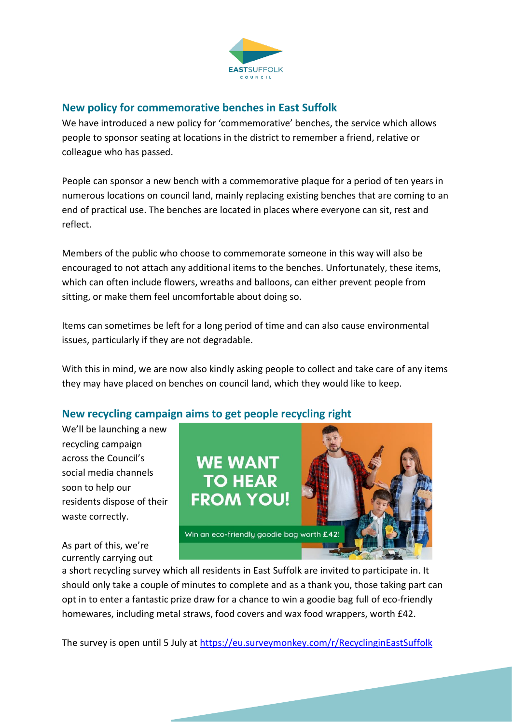

# **New policy for commemorative benches in East Suffolk**

We have introduced a new policy for 'commemorative' benches, the service which allows people to sponsor seating at locations in the district to remember a friend, relative or colleague who has passed.

People can sponsor a new bench with a commemorative plaque for a period of ten years in numerous locations on council land, mainly replacing existing benches that are coming to an end of practical use. The benches are located in places where everyone can sit, rest and reflect.

Members of the public who choose to commemorate someone in this way will also be encouraged to not attach any additional items to the benches. Unfortunately, these items, which can often include flowers, wreaths and balloons, can either prevent people from sitting, or make them feel uncomfortable about doing so.

Items can sometimes be left for a long period of time and can also cause environmental issues, particularly if they are not degradable.

With this in mind, we are now also kindly asking people to collect and take care of any items they may have placed on benches on council land, which they would like to keep.

# **New recycling campaign aims to get people recycling right**

We'll be launching a new recycling campaign across the Council's social media channels soon to help our residents dispose of their waste correctly.

As part of this, we're currently carrying out



a short recycling survey which all residents in East Suffolk are invited to participate in. It should only take a couple of minutes to complete and as a thank you, those taking part can opt in to enter a fantastic prize draw for a chance to win a goodie bag full of eco-friendly homewares, including metal straws, food covers and wax food wrappers, worth £42.

The survey is open until 5 July at<https://eu.surveymonkey.com/r/RecyclinginEastSuffolk>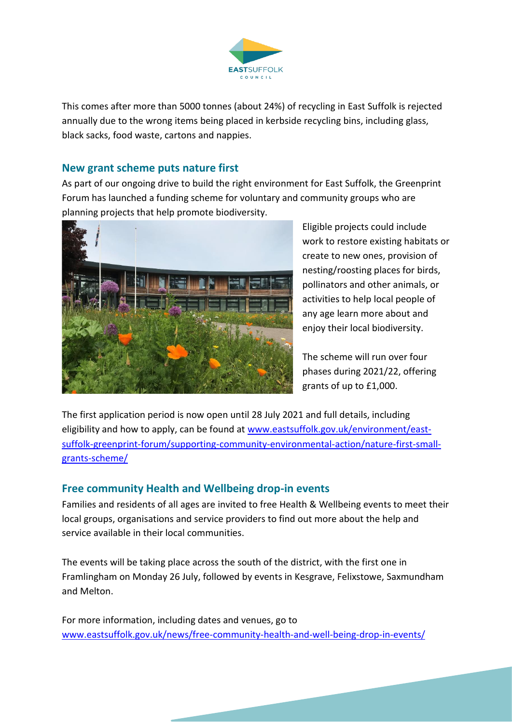

This comes after more than 5000 tonnes (about 24%) of recycling in East Suffolk is rejected annually due to the wrong items being placed in kerbside recycling bins, including glass, black sacks, food waste, cartons and nappies.

### **New grant scheme puts nature first**

As part of our ongoing drive to build the right environment for East Suffolk, the Greenprint Forum has launched a funding scheme for voluntary and community groups who are planning projects that help promote biodiversity.



Eligible projects could include work to restore existing habitats or create to new ones, provision of nesting/roosting places for birds, pollinators and other animals, or activities to help local people of any age learn more about and enjoy their local biodiversity.

The scheme will run over four phases during 2021/22, offering grants of up to £1,000.

The first application period is now open until 28 July 2021 and full details, including eligibility and how to apply, can be found at [www.eastsuffolk.gov.uk/environment/east](http://www.eastsuffolk.gov.uk/environment/east-suffolk-greenprint-forum/supporting-community-environmental-action/nature-first-small-grants-scheme/)[suffolk-greenprint-forum/supporting-community-environmental-action/nature-first-small](http://www.eastsuffolk.gov.uk/environment/east-suffolk-greenprint-forum/supporting-community-environmental-action/nature-first-small-grants-scheme/)[grants-scheme/](http://www.eastsuffolk.gov.uk/environment/east-suffolk-greenprint-forum/supporting-community-environmental-action/nature-first-small-grants-scheme/)

# **Free community Health and Wellbeing drop-in events**

Families and residents of all ages are invited to free Health & Wellbeing events to meet their local groups, organisations and service providers to find out more about the help and service available in their local communities.

The events will be taking place across the south of the district, with the first one in Framlingham on Monday 26 July, followed by events in Kesgrave, Felixstowe, Saxmundham and Melton.

For more information, including dates and venues, go to [www.eastsuffolk.gov.uk/news/free-community-health-and-well-being-drop-in-events/](http://www.eastsuffolk.gov.uk/news/free-community-health-and-well-being-drop-in-events/)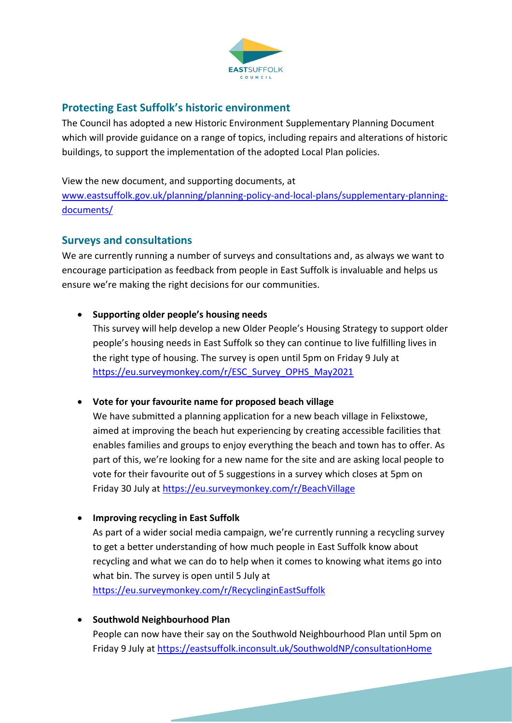

## **Protecting East Suffolk's historic environment**

The Council has adopted a new Historic Environment Supplementary Planning Document which will provide guidance on a range of topics, including repairs and alterations of historic buildings, to support the implementation of the adopted Local Plan policies.

View the new document, and supporting documents, at

[www.eastsuffolk.gov.uk/planning/planning-policy-and-local-plans/supplementary-planning](http://www.eastsuffolk.gov.uk/planning/planning-policy-and-local-plans/supplementary-planning-documents/)[documents/](http://www.eastsuffolk.gov.uk/planning/planning-policy-and-local-plans/supplementary-planning-documents/)

## **Surveys and consultations**

We are currently running a number of surveys and consultations and, as always we want to encourage participation as feedback from people in East Suffolk is invaluable and helps us ensure we're making the right decisions for our communities.

### • **Supporting older people's housing needs**

This survey will help develop a new Older People's Housing Strategy to support older people's housing needs in East Suffolk so they can continue to live fulfilling lives in the right type of housing. The survey is open until 5pm on Friday 9 July at [https://eu.surveymonkey.com/r/ESC\\_Survey\\_OPHS\\_May2021](https://eu.surveymonkey.com/r/ESC_Survey_OPHS_May2021)

• **Vote for your favourite name for proposed beach village** 

We have submitted a planning application for a new beach village in Felixstowe, aimed at improving the beach hut experiencing by creating accessible facilities that enables families and groups to enjoy everything the beach and town has to offer. As part of this, we're looking for a new name for the site and are asking local people to vote for their favourite out of 5 suggestions in a survey which closes at 5pm on Friday 30 July at<https://eu.surveymonkey.com/r/BeachVillage>

• **Improving recycling in East Suffolk**

As part of a wider social media campaign, we're currently running a recycling survey to get a better understanding of how much people in East Suffolk know about recycling and what we can do to help when it comes to knowing what items go into what bin. The survey is open until 5 July at <https://eu.surveymonkey.com/r/RecyclinginEastSuffolk>

• **Southwold Neighbourhood Plan**

People can now have their say on the Southwold Neighbourhood Plan until 5pm on Friday 9 July at<https://eastsuffolk.inconsult.uk/SouthwoldNP/consultationHome>